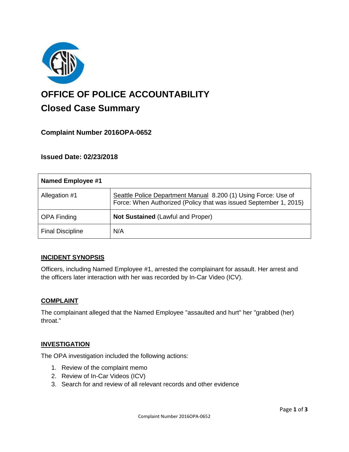

# **OFFICE OF POLICE ACCOUNTABILITY**

# **Closed Case Summary**

# **Complaint Number 2016OPA-0652**

# **Issued Date: 02/23/2018**

| Named Employee #1       |                                                                                                                                     |
|-------------------------|-------------------------------------------------------------------------------------------------------------------------------------|
| Allegation #1           | Seattle Police Department Manual 8.200 (1) Using Force: Use of<br>Force: When Authorized (Policy that was issued September 1, 2015) |
| <b>OPA Finding</b>      | <b>Not Sustained (Lawful and Proper)</b>                                                                                            |
| <b>Final Discipline</b> | N/A                                                                                                                                 |

### **INCIDENT SYNOPSIS**

Officers, including Named Employee #1, arrested the complainant for assault. Her arrest and the officers later interaction with her was recorded by In-Car Video (ICV).

### **COMPLAINT**

The complainant alleged that the Named Employee "assaulted and hurt" her "grabbed (her) throat."

#### **INVESTIGATION**

The OPA investigation included the following actions:

- 1. Review of the complaint memo
- 2. Review of In-Car Videos (ICV)
- 3. Search for and review of all relevant records and other evidence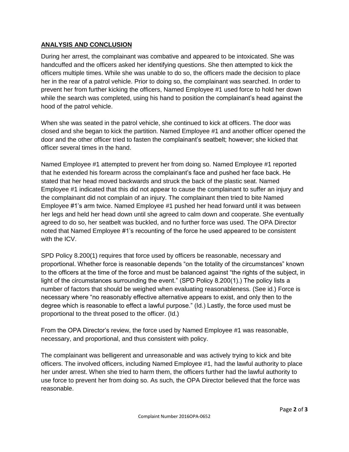### **ANALYSIS AND CONCLUSION**

During her arrest, the complainant was combative and appeared to be intoxicated. She was handcuffed and the officers asked her identifying questions. She then attempted to kick the officers multiple times. While she was unable to do so, the officers made the decision to place her in the rear of a patrol vehicle. Prior to doing so, the complainant was searched. In order to prevent her from further kicking the officers, Named Employee #1 used force to hold her down while the search was completed, using his hand to position the complainant's head against the hood of the patrol vehicle.

When she was seated in the patrol vehicle, she continued to kick at officers. The door was closed and she began to kick the partition. Named Employee #1 and another officer opened the door and the other officer tried to fasten the complainant's seatbelt; however; she kicked that officer several times in the hand.

Named Employee #1 attempted to prevent her from doing so. Named Employee #1 reported that he extended his forearm across the complainant's face and pushed her face back. He stated that her head moved backwards and struck the back of the plastic seat. Named Employee #1 indicated that this did not appear to cause the complainant to suffer an injury and the complainant did not complain of an injury. The complainant then tried to bite Named Employee #1's arm twice. Named Employee #1 pushed her head forward until it was between her legs and held her head down until she agreed to calm down and cooperate. She eventually agreed to do so, her seatbelt was buckled, and no further force was used. The OPA Director noted that Named Employee #1's recounting of the force he used appeared to be consistent with the ICV.

SPD Policy 8.200(1) requires that force used by officers be reasonable, necessary and proportional. Whether force is reasonable depends "on the totality of the circumstances" known to the officers at the time of the force and must be balanced against "the rights of the subject, in light of the circumstances surrounding the event." (SPD Policy 8.200(1).) The policy lists a number of factors that should be weighed when evaluating reasonableness. (See id.) Force is necessary where "no reasonably effective alternative appears to exist, and only then to the degree which is reasonable to effect a lawful purpose." (Id.) Lastly, the force used must be proportional to the threat posed to the officer. (Id.)

From the OPA Director's review, the force used by Named Employee #1 was reasonable, necessary, and proportional, and thus consistent with policy.

The complainant was belligerent and unreasonable and was actively trying to kick and bite officers. The involved officers, including Named Employee #1, had the lawful authority to place her under arrest. When she tried to harm them, the officers further had the lawful authority to use force to prevent her from doing so. As such, the OPA Director believed that the force was reasonable.